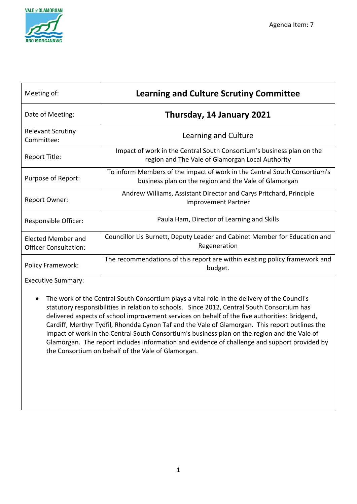

| Meeting of:                                        | <b>Learning and Culture Scrutiny Committee</b>                                                                                     |
|----------------------------------------------------|------------------------------------------------------------------------------------------------------------------------------------|
| Date of Meeting:                                   | Thursday, 14 January 2021                                                                                                          |
| <b>Relevant Scrutiny</b><br>Committee:             | Learning and Culture                                                                                                               |
| Report Title:                                      | Impact of work in the Central South Consortium's business plan on the<br>region and The Vale of Glamorgan Local Authority          |
| Purpose of Report:                                 | To inform Members of the impact of work in the Central South Consortium's<br>business plan on the region and the Vale of Glamorgan |
| Report Owner:                                      | Andrew Williams, Assistant Director and Carys Pritchard, Principle<br><b>Improvement Partner</b>                                   |
| Responsible Officer:                               | Paula Ham, Director of Learning and Skills                                                                                         |
| Elected Member and<br><b>Officer Consultation:</b> | Councillor Lis Burnett, Deputy Leader and Cabinet Member for Education and<br>Regeneration                                         |
| <b>Policy Framework:</b>                           | The recommendations of this report are within existing policy framework and<br>budget.                                             |

Executive Summary:

• The work of the Central South Consortium plays a vital role in the delivery of the Council's statutory responsibilities in relation to schools. Since 2012, Central South Consortium has delivered aspects of school improvement services on behalf of the five authorities: Bridgend, Cardiff, Merthyr Tydfil, Rhondda Cynon Taf and the Vale of Glamorgan. This report outlines the impact of work in the Central South Consortium's business plan on the region and the Vale of Glamorgan. The report includes information and evidence of challenge and support provided by the Consortium on behalf of the Vale of Glamorgan.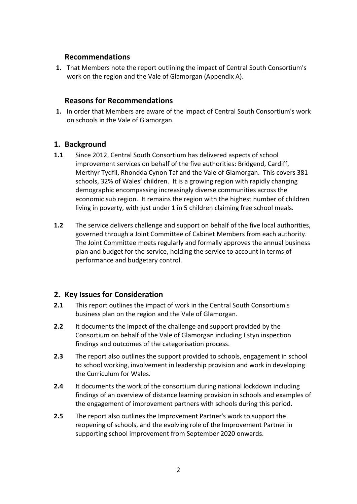### **Recommendations**

**1.** That Members note the report outlining the impact of Central South Consortium's work on the region and the Vale of Glamorgan (Appendix A).

### **Reasons for Recommendations**

**1.** In order that Members are aware of the impact of Central South Consortium's work on schools in the Vale of Glamorgan.

## **1. Background**

- **1.1** Since 2012, Central South Consortium has delivered aspects of school improvement services on behalf of the five authorities: Bridgend, Cardiff, Merthyr Tydfil, Rhondda Cynon Taf and the Vale of Glamorgan. This covers 381 schools, 32% of Wales' children. It is a growing region with rapidly changing demographic encompassing increasingly diverse communities across the economic sub region. It remains the region with the highest number of children living in poverty, with just under 1 in 5 children claiming free school meals.
- **1.2** The service delivers challenge and support on behalf of the five local authorities, governed through a Joint Committee of Cabinet Members from each authority. The Joint Committee meets regularly and formally approves the annual business plan and budget for the service, holding the service to account in terms of performance and budgetary control.

## **2. Key Issues for Consideration**

- **2.1** This report outlines the impact of work in the Central South Consortium's business plan on the region and the Vale of Glamorgan.
- **2.2** It documents the impact of the challenge and support provided by the Consortium on behalf of the Vale of Glamorgan including Estyn inspection findings and outcomes of the categorisation process.
- **2.3** The report also outlines the support provided to schools, engagement in school to school working, involvement in leadership provision and work in developing the Curriculum for Wales.
- **2.4** It documents the work of the consortium during national lockdown including findings of an overview of distance learning provision in schools and examples of the engagement of improvement partners with schools during this period.
- **2.5** The report also outlines the Improvement Partner's work to support the reopening of schools, and the evolving role of the Improvement Partner in supporting school improvement from September 2020 onwards.